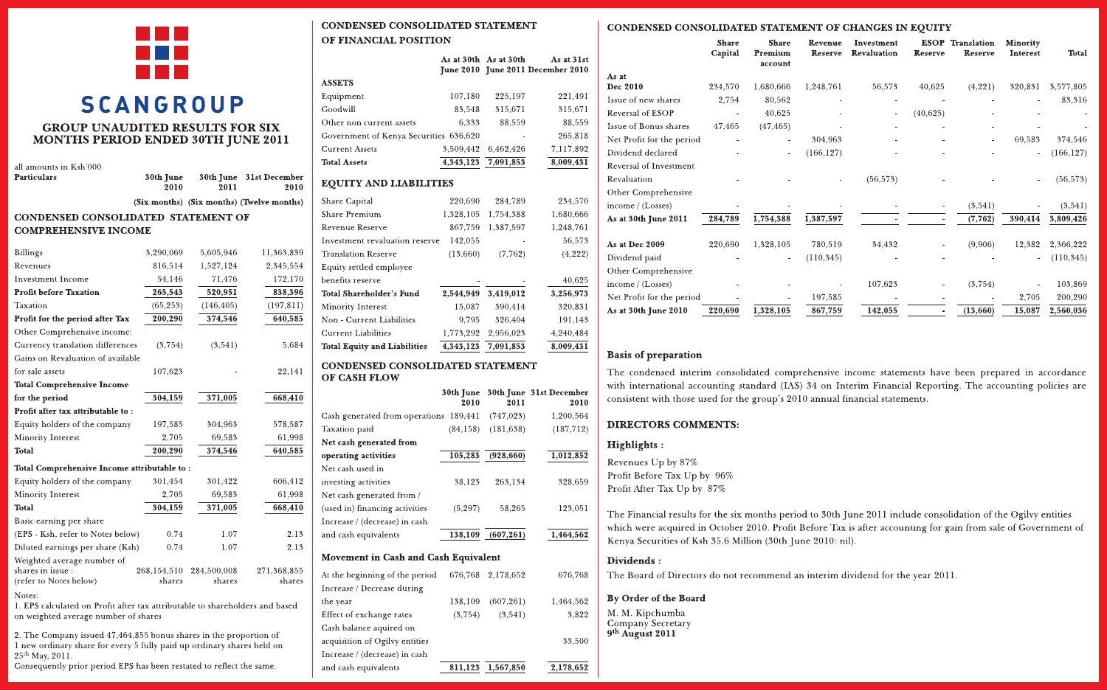

# **SCANGROUP GROUP UNAUDITED RESULTS FOR SIX**

**MONTHS PERIOD ENDED 30TH JUNE 2011** 

| all amounts in Ksh'000               |                   |           |                                           |  |  |  |  |  |
|--------------------------------------|-------------------|-----------|-------------------------------------------|--|--|--|--|--|
| Particulars                          | 30th June<br>2010 | 2011      | 30th June 31st December<br>2010           |  |  |  |  |  |
|                                      |                   |           | (Six months) (Six months) (Twelve months) |  |  |  |  |  |
| CONDENSED CONSOLIDATED  STATEMENT OF |                   |           |                                           |  |  |  |  |  |
| <b>COMPREHENSIVE INCOME</b>          |                   |           |                                           |  |  |  |  |  |
| Billings                             | 3,290,069         | 5,605,946 | 11,363,839                                |  |  |  |  |  |
| Revenues                             | 816,514           | 1,527,124 | 2,345,554                                 |  |  |  |  |  |
| Investment Income                    | 54,146            | 71,476    | 172,170                                   |  |  |  |  |  |

| <b>Profit before Taxation</b>                                                                                                  | 265,543               | 520,951               | 838,396               |  |  |  |
|--------------------------------------------------------------------------------------------------------------------------------|-----------------------|-----------------------|-----------------------|--|--|--|
| Taxation                                                                                                                       | (65, 253)             | (146, 405)            | (197, 811)            |  |  |  |
| Profit for the period after Tax                                                                                                | 200,290               | 374,546               | 640,585               |  |  |  |
| Other Comprehensive income:                                                                                                    |                       |                       |                       |  |  |  |
| Currency translation differences                                                                                               | (3,754)               | (3,541)               | 5,684                 |  |  |  |
| Gains on Revaluation of available                                                                                              |                       |                       |                       |  |  |  |
| for sale assets                                                                                                                | 107,623               |                       | 22,141                |  |  |  |
| <b>Total Comprehensive Income</b>                                                                                              |                       |                       |                       |  |  |  |
| for the period                                                                                                                 | 304,159               | 371,005               | 668,410               |  |  |  |
| Profit after tax attributable to:                                                                                              |                       |                       |                       |  |  |  |
| Equity holders of the company                                                                                                  | 197,585               | 304,963               | 578,587               |  |  |  |
| Minority Interest                                                                                                              | 2,705                 | 69,583                | 61,998                |  |  |  |
| <b>Total</b>                                                                                                                   | 200,290               | 374,546               | 640,585               |  |  |  |
| Total Comprehensive Income attributable to:                                                                                    |                       |                       |                       |  |  |  |
| Equity holders of the company                                                                                                  | 301,454               | 301,422               | 606,412               |  |  |  |
| Minority Interest                                                                                                              | 2.705                 | 69.583                | 61.998                |  |  |  |
| <b>Total</b>                                                                                                                   | 304,159               | 371,005               | 668,410               |  |  |  |
| Basic earning per share                                                                                                        |                       |                       |                       |  |  |  |
| (EPS - Ksh, refer to Notes below)                                                                                              | 0.74                  | 1.07                  | 2.13                  |  |  |  |
| Diluted earnings per share (Ksh)                                                                                               | 0.74                  | 1.07                  | 2.13                  |  |  |  |
| Weighted average number of<br>shares in issue:<br>(refer to Notes below)                                                       | 268,154,510<br>shares | 284,500,008<br>shares | 271,368,855<br>shares |  |  |  |
| Notes:<br>1. EPS calculated on Profit after tax attributable to shareholders and based<br>on weighted average number of shares |                       |                       |                       |  |  |  |

2. The Company issued 47,464,855 bonus shares in the proportion of 1 new ordinary share for every 5 fully paid up ordinary shares held on 25<sup>th</sup> May, 2011

Consequently prior period EPS has been restated to reflect the same.

## **CONDENSED CONSOLIDATED STATEMENT** OF FINANCIAL POSITION

|                                        |           | As at 30th As at 30th | As at 31st<br>June 2010 June 2011 December 2010 |
|----------------------------------------|-----------|-----------------------|-------------------------------------------------|
| <b>ASSETS</b>                          |           |                       |                                                 |
| Equipment                              | 107,180   | 225,197               | 221,491                                         |
| Goodwill                               | 83.548    | 315,671               | 315,671                                         |
| Other non current assets               | 6,333     | 88,559                | 88,559                                          |
| Government of Kenya Securities 636,620 |           |                       | 265,818                                         |
| <b>Current Assets</b>                  | 3,509,442 | 6,462,426             | 7,117,892                                       |
| <b>Total Assets</b>                    | 4,343,123 | 7,091,853             | 8,009,431                                       |
| <b>EQUITY AND LIABILITIES</b>          |           |                       |                                                 |
| Share Capital                          | 220,690   | 284,789               | 234,570                                         |
| <b>Share Premium</b>                   | 1,328,105 | 1,754,388             | 1,680,666                                       |
| <b>Revenue Reserve</b>                 | 867,759   | 1.387,597             | 1,248,761                                       |
| Investment revaluation reserve         | 142,055   |                       | 56,573                                          |
| <b>Translation Reserve</b>             | (13,660)  | (7,762)               | (4, 222)                                        |
| Equity settled employee                |           |                       |                                                 |
| benefits reserve                       |           |                       | 40,625                                          |
| <b>Total Shareholder's Fund</b>        | 2,544,949 | 3,419,012             | 3,256,973                                       |
| Minority Interest                      | 15,087    | 390,414               | 320,831                                         |
| Non - Current Liabilities              | 9,795     | 326,404               | 191,143                                         |
| <b>Current Liabilities</b>             | 1,773,292 | 2,956,023             | 4,240,484                                       |
| <b>Total Equity and Liabilities</b>    | 4,343,123 | 7,091,853             | 8,009,431                                       |

#### CONDENSED CONSOLIDATED STATEMENT OF CASH FLOW

|                                        | 30th June<br>2010 | 2011       | 30th June 31st December<br>2010 |
|----------------------------------------|-------------------|------------|---------------------------------|
| Cash generated from operations 189,441 |                   | (747, 023) | 1,200,564                       |
| <b>Taxation</b> paid                   | (84.158)          | (181, 638) | (187, 712)                      |
| Net cash generated from                |                   |            |                                 |
| operating activities                   | 105.283           | (928, 660) | 1,012,852                       |
| Net cash used in                       |                   |            |                                 |
| investing activities                   | 38.123            | 263.134    | 328,659                         |
| Net cash generated from /              |                   |            |                                 |
| (used in) financing activities         | (5, 297)          | 58,265     | 123,051                         |
| Increase / (decrease) in cash          |                   |            |                                 |
| and cash equivalents                   | 138,109           | (607.261)  | 1,464,562                       |

## Movement in Cash and Cash Equivalent

| and cash equivalents           | 811.123 | 1,567,850         | 2,178,652 |
|--------------------------------|---------|-------------------|-----------|
| Increase / (decrease) in cash  |         |                   |           |
| acquisition of Ogilvy entities |         |                   | 33,500    |
| Cash balance aquired on        |         |                   |           |
| Effect of exchange rates       | (3,754) | (3,541)           | 3,822     |
| the year                       | 138,109 | (607, 261)        | 1,464,562 |
| Increase / Decrease during     |         |                   |           |
| At the beginning of the period |         | 676,768 2.178,652 | 676,768   |
|                                |         |                   |           |

## CONDENSED CONSOLIDATED STATEMENT OF CHANGES IN EQUITY

|                           | <b>Share</b><br>Capital | Share<br>Premium<br>account | Revenue<br>Reserve | Investment<br>Revaluation | <b>Reserve</b> | <b>ESOP</b> Translation<br>Reserve | Minority<br><b>Interest</b> | Total      |
|---------------------------|-------------------------|-----------------------------|--------------------|---------------------------|----------------|------------------------------------|-----------------------------|------------|
| As at                     |                         |                             |                    |                           |                |                                    |                             |            |
| Dec 2010                  | 234,570                 | 1,680,666                   | 1,248,761          | 56,573                    | 40,625         | (4,221)                            | 320,831                     | 3,577,805  |
| Issue of new shares       | 2,754                   | 80,562                      |                    |                           |                |                                    |                             | 83,316     |
| <b>Reversal of ESOP</b>   |                         | 40,625                      |                    |                           | (40,625)       |                                    |                             |            |
| Issue of Bonus shares     | 47,465                  | (47, 465)                   |                    |                           | ۰              |                                    |                             |            |
| Net Profit for the period |                         |                             | 304,963            |                           |                |                                    | 69,583                      | 374,546    |
| Dividend declared         |                         | ۰                           | (166, 127)         |                           |                |                                    |                             | (166, 127) |
| Reversal of Investment    |                         |                             |                    |                           |                |                                    |                             |            |
| Revaluation               |                         |                             |                    | (56, 573)                 |                |                                    |                             | (56, 573)  |
| Other Comprehensive       |                         |                             |                    |                           |                |                                    |                             |            |
| income / (Losses)         |                         |                             |                    |                           |                | (3,541)                            |                             | (3,541)    |
| As at 30th June 2011      | 284,789                 | 1,754,388                   | 1,387,597          |                           | ۰              | (7, 762)                           | 390,414                     | 3,809,426  |
| As at Dec 2009            | 220,690                 | 1,328,105                   | 780,519            | 34.432                    |                | (9,906)                            | 12,382                      | 2,366,222  |
| Dividend paid             |                         |                             | (110, 345)         |                           |                |                                    |                             | (110, 345) |
| Other Comprehensive       |                         |                             |                    |                           |                |                                    |                             |            |
| income / (Losses)         |                         |                             |                    | 107.623                   |                | (3,754)                            |                             | 103,869    |
| Net Profit for the period |                         |                             | 197,585            |                           |                |                                    | 2,705                       | 200,290    |
| As at 30th June 2010      | 220,690                 | 1,328,105                   | 867,759            | 142,055                   |                | (13,660)                           | 15,087                      | 2,560,036  |

## **Basis of preparation**

The condensed interim consolidated comprehensive income statements have been prepared in accordance with international accounting standard (IAS) 34 on Interim Financial Reporting. The accounting policies are consistent with those used for the group's 2010 annual financial statements.

## **DIRECTORS COMMENTS:**

### Highlights:

Revenues Up by 87% Profit Before Tax Up by 96% Profit After Tax Up by 87%

The Financial results for the six months period to 30th June 2011 include consolidation of the Ogilvy entities which were acquired in October 2010. Profit Before Tax is after accounting for gain from sale of Government of Kenya Securities of Ksh 35.6 Million (30th June 2010: nil).

## Dividends:

The Board of Directors do not recommend an interim dividend for the year 2011.

## By Order of the Board

M. M. Kipchumba Company Secretary 9<sup>th</sup> August 2011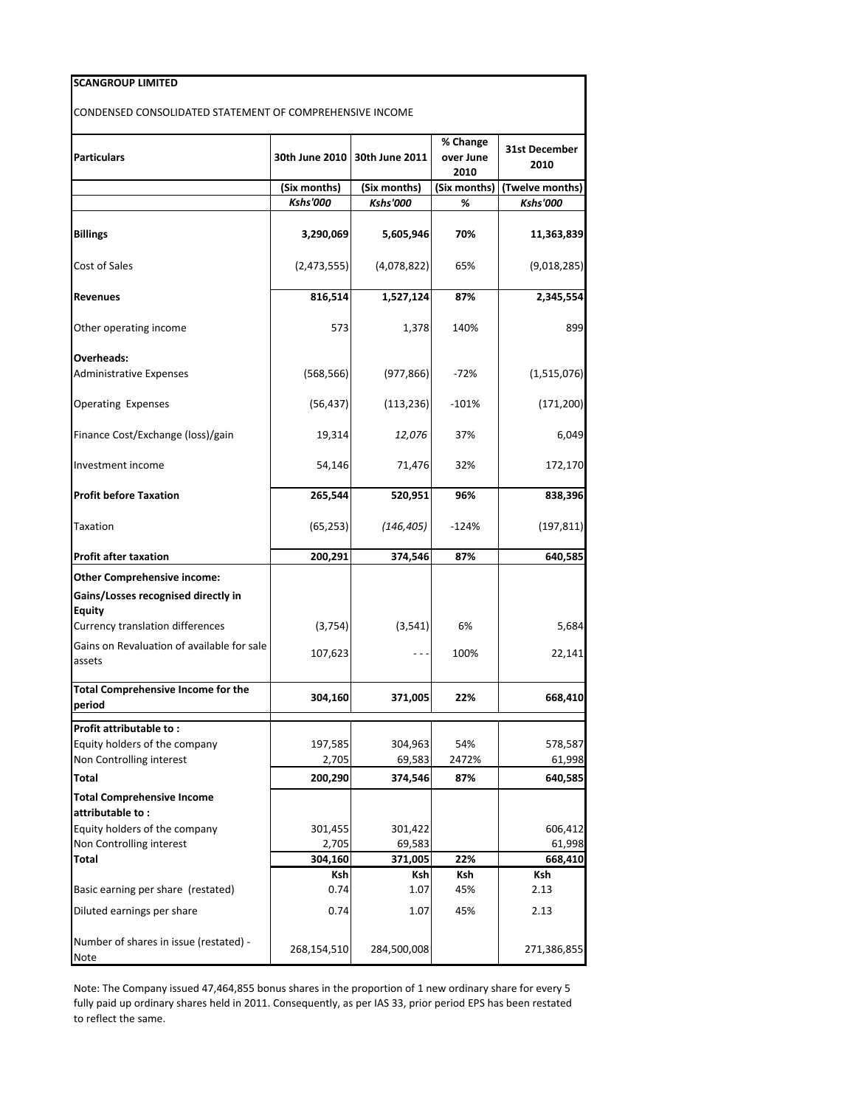| <b>SCANGROUP LIMITED</b>                                 |                 |                                 |                               |                              |
|----------------------------------------------------------|-----------------|---------------------------------|-------------------------------|------------------------------|
| CONDENSED CONSOLIDATED STATEMENT OF COMPREHENSIVE INCOME |                 |                                 |                               |                              |
| <b>Particulars</b>                                       |                 | 30th June 2010   30th June 2011 | % Change<br>over June<br>2010 | <b>31st December</b><br>2010 |
|                                                          | (Six months)    | (Six months)                    | (Six months)                  | (Twelve months)              |
|                                                          | <b>Kshs'000</b> | <b>Kshs'000</b>                 | %                             | <b>Kshs'000</b>              |
| <b>Billings</b>                                          | 3,290,069       | 5,605,946                       | 70%                           | 11,363,839                   |
| Cost of Sales                                            | (2,473,555)     | (4,078,822)                     | 65%                           | (9,018,285)                  |
| <b>Revenues</b>                                          | 816,514         | 1,527,124                       | 87%                           | 2,345,554                    |
| Other operating income                                   | 573             | 1,378                           | 140%                          | 899                          |
| Overheads:                                               |                 |                                 |                               |                              |
| <b>Administrative Expenses</b>                           | (568, 566)      | (977, 866)                      | $-72%$                        | (1,515,076)                  |
| <b>Operating Expenses</b>                                | (56, 437)       | (113, 236)                      | $-101%$                       | (171, 200)                   |
| Finance Cost/Exchange (loss)/gain                        | 19,314          | 12,076                          | 37%                           | 6,049                        |
| Investment income                                        | 54,146          | 71,476                          | 32%                           | 172,170                      |
| <b>Profit before Taxation</b>                            | 265,544         | 520,951                         | 96%                           | 838,396                      |
| Taxation                                                 | (65, 253)       | (146, 405)                      | $-124%$                       | (197, 811)                   |
| <b>Profit after taxation</b>                             | 200,291         | 374,546                         | 87%                           | 640,585                      |
| <b>Other Comprehensive income:</b>                       |                 |                                 |                               |                              |
| Gains/Losses recognised directly in                      |                 |                                 |                               |                              |
| <b>Equity</b><br>Currency translation differences        | (3, 754)        | (3, 541)                        | 6%                            | 5,684                        |
| Gains on Revaluation of available for sale               |                 |                                 |                               |                              |
| assets                                                   | 107,623         |                                 | 100%                          | 22,141                       |
| <b>Total Comprehensive Income for the</b><br>period      | 304,160         | 371,005                         | 22%                           | 668,410                      |
| Profit attributable to:                                  |                 |                                 |                               |                              |
| Equity holders of the company                            | 197,585         | 304,963                         | 54%                           | 578,587                      |
| Non Controlling interest                                 | 2,705           | 69,583                          | 2472%                         | 61,998                       |
| Total                                                    | 200,290         | 374,546                         | 87%                           | 640,585                      |
| <b>Total Comprehensive Income</b>                        |                 |                                 |                               |                              |
| attributable to:                                         |                 |                                 |                               |                              |
| Equity holders of the company                            | 301,455         | 301,422                         |                               | 606,412                      |
| Non Controlling interest                                 | 2,705           | 69,583                          |                               | 61,998                       |
| <b>Total</b>                                             | 304,160         | 371,005                         | 22%                           | 668,410                      |
| Basic earning per share (restated)                       | Ksh<br>0.74     | Ksh<br>1.07                     | Ksh<br>45%                    | Ksh<br>2.13                  |
| Diluted earnings per share                               | 0.74            | 1.07                            | 45%                           | 2.13                         |
| Number of shares in issue (restated) -<br>Note           | 268,154,510     | 284,500,008                     |                               | 271,386,855                  |
|                                                          |                 |                                 |                               |                              |

Note: The Company issued 47,464,855 bonus shares in the proportion of 1 new ordinary share for every 5 fully paid up ordinary shares held in 2011. Consequently, as per IAS 33, prior period EPS has been restated to reflect the same.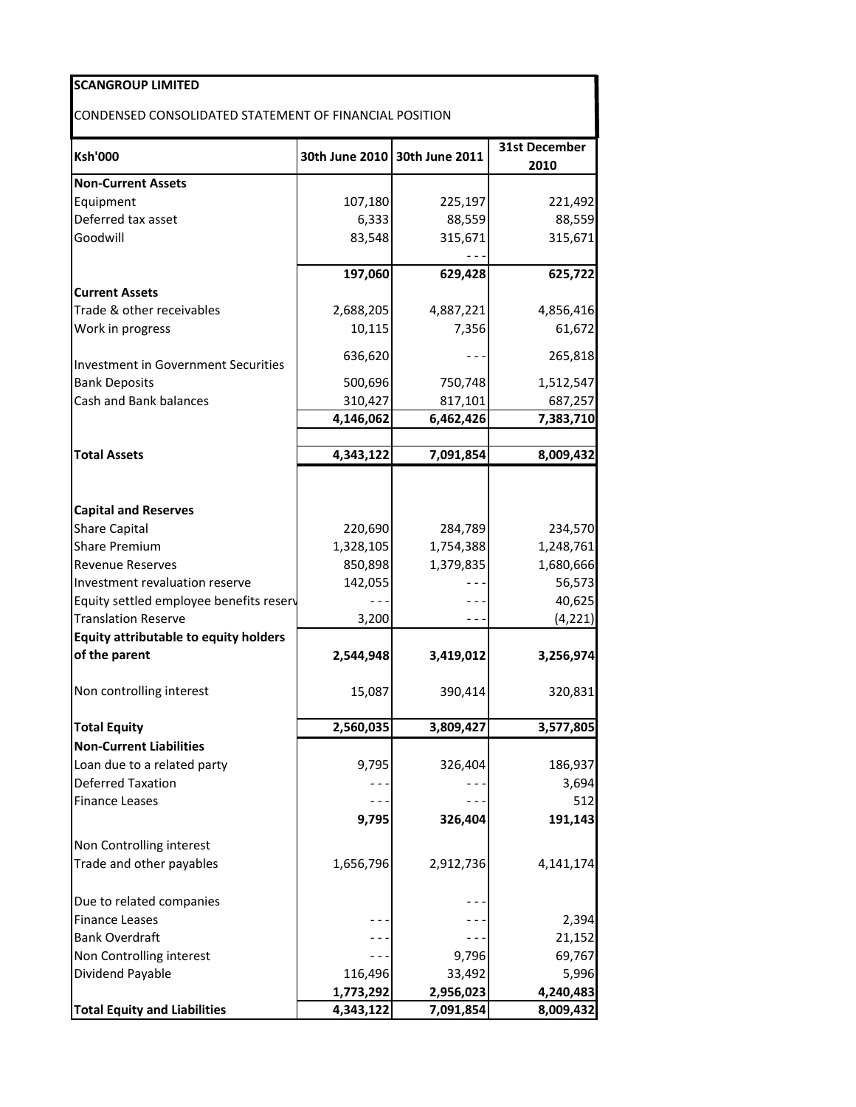| <b>SCANGROUP LIMITED</b>                               |           |                               |                       |
|--------------------------------------------------------|-----------|-------------------------------|-----------------------|
| CONDENSED CONSOLIDATED STATEMENT OF FINANCIAL POSITION |           |                               |                       |
| <b>Ksh'000</b>                                         |           | 30th June 2010 30th June 2011 | 31st December<br>2010 |
| <b>Non-Current Assets</b>                              |           |                               |                       |
| Equipment                                              | 107,180   | 225,197                       | 221,492               |
| Deferred tax asset                                     | 6,333     | 88,559                        | 88,559                |
| Goodwill                                               | 83,548    | 315,671                       | 315,671               |
|                                                        |           |                               |                       |
| <b>Current Assets</b>                                  | 197,060   | 629,428                       | 625,722               |
| Trade & other receivables                              | 2,688,205 | 4,887,221                     | 4,856,416             |
| Work in progress                                       | 10,115    | 7,356                         | 61,672                |
|                                                        | 636,620   |                               | 265,818               |
| Investment in Government Securities                    |           |                               |                       |
| <b>Bank Deposits</b>                                   | 500,696   | 750,748                       | 1,512,547             |
| Cash and Bank balances                                 | 310,427   | 817,101                       | 687,257               |
|                                                        | 4,146,062 | 6,462,426                     | 7,383,710             |
| <b>Total Assets</b>                                    | 4,343,122 | 7,091,854                     | 8,009,432             |
| <b>Capital and Reserves</b><br><b>Share Capital</b>    | 220,690   | 284,789                       | 234,570               |
| <b>Share Premium</b>                                   | 1,328,105 | 1,754,388                     | 1,248,761             |
| <b>Revenue Reserves</b>                                | 850,898   | 1,379,835                     | 1,680,666             |
| Investment revaluation reserve                         | 142,055   |                               | 56,573                |
| Equity settled employee benefits reserv                |           |                               | 40,625                |
| <b>Translation Reserve</b>                             | 3,200     |                               | (4, 221)              |
| <b>Equity attributable to equity holders</b>           |           |                               |                       |
| of the parent                                          | 2,544,948 | 3,419,012                     | 3,256,974             |
| Non controlling interest                               | 15,087    | 390,414                       | 320,831               |
| <b>Total Equity</b>                                    | 2,560,035 | 3,809,427                     | 3,577,805             |
| <b>Non-Current Liabilities</b>                         |           |                               |                       |
| Loan due to a related party                            | 9,795     | 326,404                       | 186,937               |
| <b>Deferred Taxation</b>                               |           |                               | 3,694                 |
| <b>Finance Leases</b>                                  |           |                               | 512                   |
|                                                        | 9,795     | 326,404                       | 191,143               |
| Non Controlling interest                               |           |                               |                       |
| Trade and other payables                               | 1,656,796 | 2,912,736                     | 4,141,174             |
| Due to related companies                               |           |                               |                       |
| <b>Finance Leases</b>                                  |           |                               | 2,394                 |
| <b>Bank Overdraft</b>                                  |           | - - -                         | 21,152                |
| Non Controlling interest                               |           | 9,796                         | 69,767                |
| Dividend Payable                                       | 116,496   | 33,492                        | 5,996                 |
|                                                        | 1,773,292 | 2,956,023                     | 4,240,483             |
| <b>Total Equity and Liabilities</b>                    | 4,343,122 | 7,091,854                     | 8,009,432             |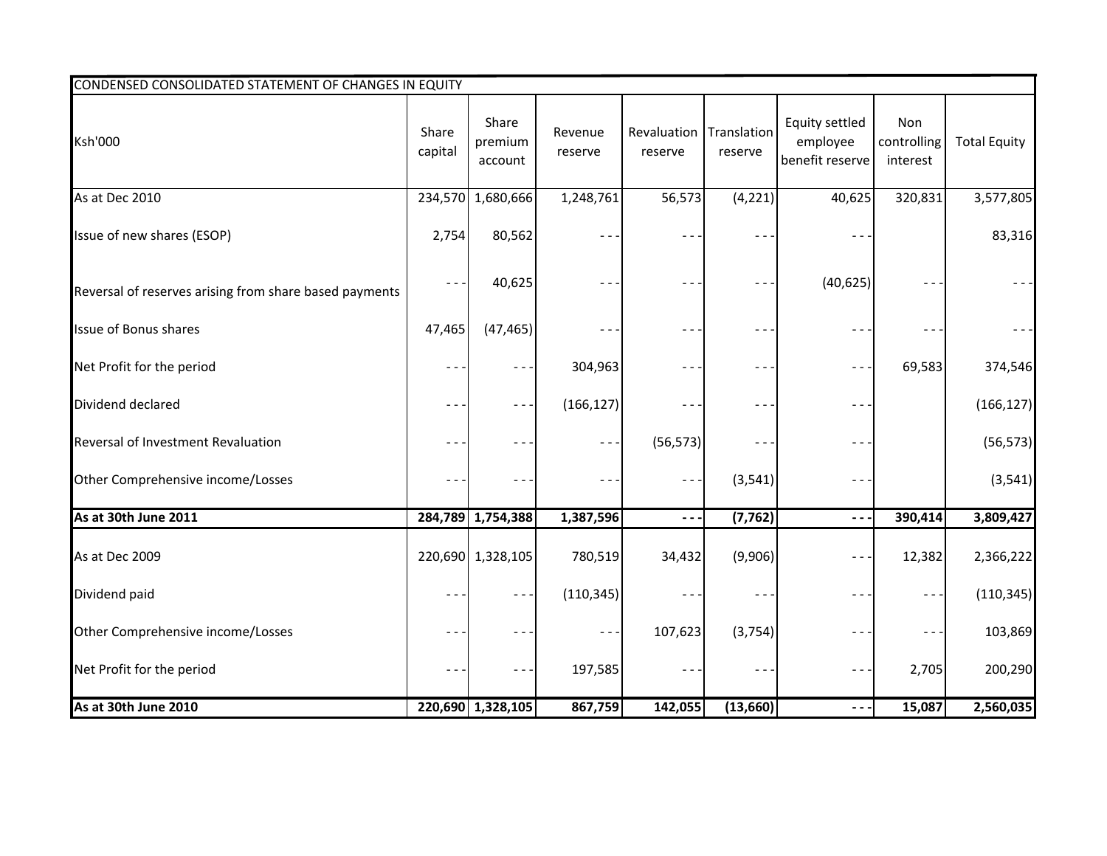| CONDENSED CONSOLIDATED STATEMENT OF CHANGES IN EQUITY  |                  |                             |                    |                                    |          |                                                      |                                |                     |
|--------------------------------------------------------|------------------|-----------------------------|--------------------|------------------------------------|----------|------------------------------------------------------|--------------------------------|---------------------|
| <b>Ksh'000</b>                                         | Share<br>capital | Share<br>premium<br>account | Revenue<br>reserve | Revaluation Translation<br>reserve | reserve  | <b>Equity settled</b><br>employee<br>benefit reserve | Non<br>controlling<br>interest | <b>Total Equity</b> |
| As at Dec 2010                                         |                  | 234,570 1,680,666           | 1,248,761          | 56,573                             | (4, 221) | 40,625                                               | 320,831                        | 3,577,805           |
| Issue of new shares (ESOP)                             | 2,754            | 80,562                      | $ -$               |                                    | $ -$     | $ -$                                                 |                                | 83,316              |
| Reversal of reserves arising from share based payments | $\sim$ $-$       | 40,625                      |                    |                                    |          | (40, 625)                                            |                                |                     |
| Issue of Bonus shares                                  | 47,465           | (47, 465)                   |                    |                                    |          |                                                      | $- -$                          | $- - -$             |
| Net Profit for the period                              |                  | $\sim$ $\sim$               | 304,963            |                                    |          | $\blacksquare$                                       | 69,583                         | 374,546             |
| Dividend declared                                      |                  | $\sim$ $-$                  | (166, 127)         |                                    |          |                                                      |                                | (166, 127)          |
| Reversal of Investment Revaluation                     |                  | $ -$                        | $\sim$ $\sim$      | (56, 573)                          |          | $ -$                                                 |                                | (56, 573)           |
| Other Comprehensive income/Losses                      |                  | $ -$                        | $\blacksquare$     | $  -$                              | (3, 541) | $- -$                                                |                                | (3, 541)            |
| As at 30th June 2011                                   |                  | 284,789 1,754,388           | 1,387,596          | $- - \cdot$                        | (7, 762) | $\sim$ $-$                                           | 390,414                        | 3,809,427           |
| As at Dec 2009                                         |                  | 220,690 1,328,105           | 780,519            | 34,432                             | (9,906)  |                                                      | 12,382                         | 2,366,222           |
| Dividend paid                                          |                  | $\sim$ $\sim$               | (110, 345)         |                                    |          |                                                      | $\sim$ $-$                     | (110, 345)          |
| Other Comprehensive income/Losses                      |                  | $- -$                       | $\sim$ $\sim$      | 107,623                            | (3,754)  | $ -$                                                 | $- -$                          | 103,869             |
| Net Profit for the period                              |                  | $- -$                       | 197,585            | $- -$                              | $- -$    | $- -$                                                | 2,705                          | 200,290             |
| As at 30th June 2010                                   |                  | 220,690 1,328,105           | 867,759            | 142,055                            | (13,660) |                                                      | 15,087                         | 2,560,035           |